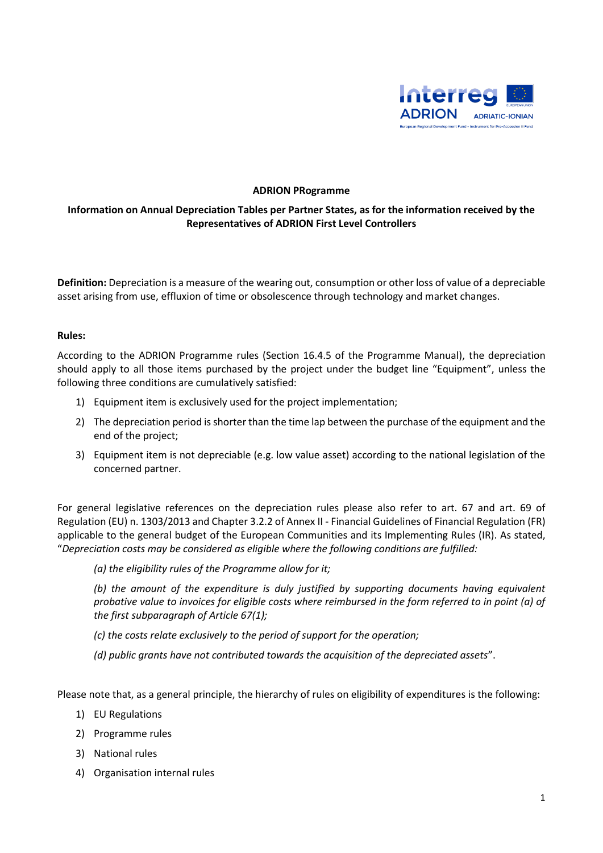

### **ADRION PRogramme**

### **Information on Annual Depreciation Tables per Partner States, as for the information received by the Representatives of ADRION First Level Controllers**

**Definition:** Depreciation is a measure of the wearing out, consumption or other loss of value of a depreciable asset arising from use, effluxion of time or obsolescence through technology and market changes.

#### **Rules:**

According to the ADRION Programme rules (Section 16.4.5 of the Programme Manual), the depreciation should apply to all those items purchased by the project under the budget line "Equipment", unless the following three conditions are cumulatively satisfied:

- 1) Equipment item is exclusively used for the project implementation;
- 2) The depreciation period is shorter than the time lap between the purchase of the equipment and the end of the project;
- 3) Equipment item is not depreciable (e.g. low value asset) according to the national legislation of the concerned partner.

For general legislative references on the depreciation rules please also refer to art. 67 and art. 69 of Regulation (EU) n. 1303/2013 and Chapter 3.2.2 of Annex II - Financial Guidelines of Financial Regulation (FR) applicable to the general budget of the European Communities and its Implementing Rules (IR). As stated, "*Depreciation costs may be considered as eligible where the following conditions are fulfilled:* 

*(a) the eligibility rules of the Programme allow for it;* 

*(b) the amount of the expenditure is duly justified by supporting documents having equivalent probative value to invoices for eligible costs where reimbursed in the form referred to in point (a) of the first subparagraph of Article 67(1);* 

*(c) the costs relate exclusively to the period of support for the operation;* 

*(d) public grants have not contributed towards the acquisition of the depreciated assets*".

Please note that, as a general principle, the hierarchy of rules on eligibility of expenditures is the following:

- 1) EU Regulations
- 2) Programme rules
- 3) National rules
- 4) Organisation internal rules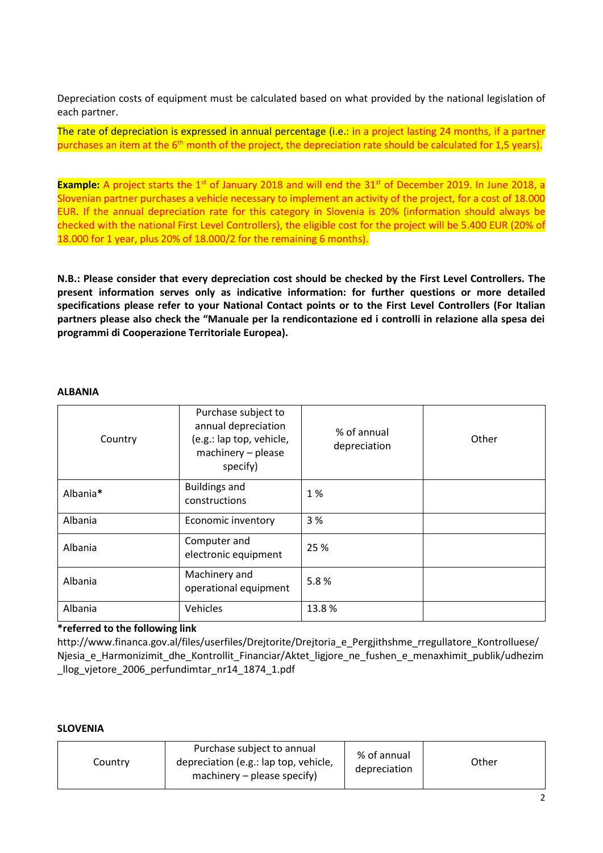Depreciation costs of equipment must be calculated based on what provided by the national legislation of each partner.

The rate of depreciation is expressed in annual percentage (i.e.: in a project lasting 24 months, if a partner purchases an item at the  $6<sup>th</sup>$  month of the project, the depreciation rate should be calculated for 1,5 years).

**Example:** A project starts the 1<sup>st</sup> of January 2018 and will end the 31<sup>st</sup> of December 2019. In June 2018, a Slovenian partner purchases a vehicle necessary to implement an activity of the project, for a cost of 18.000 EUR. If the annual depreciation rate for this category in Slovenia is 20% (information should always be checked with the national First Level Controllers), the eligible cost for the project will be 5.400 EUR (20% of 18.000 for 1 year, plus 20% of 18.000/2 for the remaining 6 months).

**N.B.: Please consider that every depreciation cost should be checked by the First Level Controllers. The present information serves only as indicative information: for further questions or more detailed specifications please refer to your National Contact points or to the First Level Controllers (For Italian partners please also check the "Manuale per la rendicontazione ed i controlli in relazione alla spesa dei programmi di Cooperazione Territoriale Europea).**

#### **ALBANIA**

| Country  | Purchase subject to<br>annual depreciation<br>(e.g.: lap top, vehicle,<br>machinery - please<br>specify) | % of annual<br>depreciation | Other |
|----------|----------------------------------------------------------------------------------------------------------|-----------------------------|-------|
| Albania* | <b>Buildings and</b><br>constructions                                                                    | 1%                          |       |
| Albania  | Economic inventory                                                                                       | 3%                          |       |
| Albania  | Computer and<br>electronic equipment                                                                     | 25 %                        |       |
| Albania  | Machinery and<br>operational equipment                                                                   | 5.8%                        |       |
| Albania  | Vehicles                                                                                                 | 13.8%                       |       |

### **\*referred to the following link**

http://www.financa.gov.al/files/userfiles/Drejtorite/Drejtoria\_e\_Pergjithshme\_rregullatore\_Kontrolluese/ Njesia e Harmonizimit dhe Kontrollit Financiar/Aktet ligjore ne fushen e menaxhimit publik/udhezim \_llog\_vjetore\_2006\_perfundimtar\_nr14\_1874\_1.pdf

### **SLOVENIA**

| Country | Purchase subject to annual<br>depreciation (e.g.: lap top, vehicle,<br>machinery $-$ please specify) | % of annual<br>depreciation | Other |
|---------|------------------------------------------------------------------------------------------------------|-----------------------------|-------|
|---------|------------------------------------------------------------------------------------------------------|-----------------------------|-------|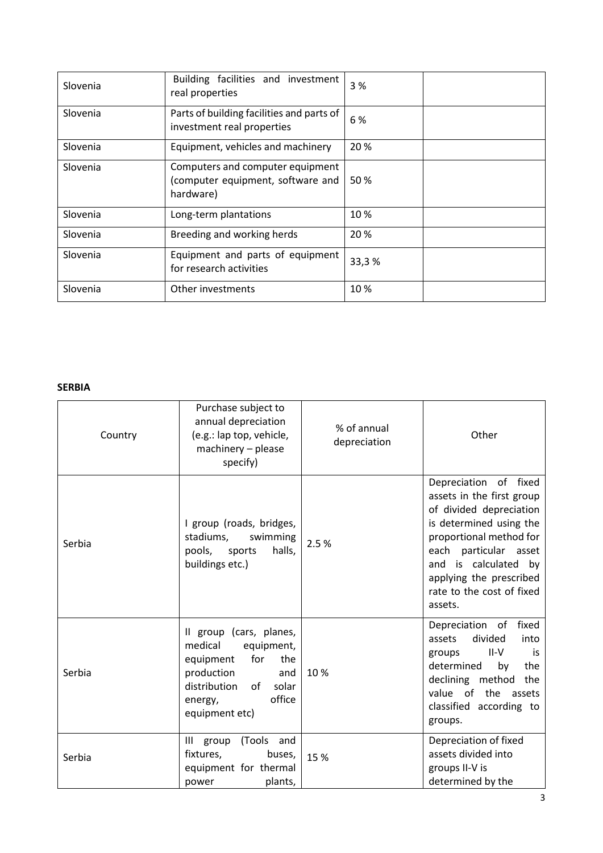| Slovenia | Building facilities and investment<br>real properties                              | 3%    |
|----------|------------------------------------------------------------------------------------|-------|
| Slovenia | Parts of building facilities and parts of<br>investment real properties            | 6 %   |
| Slovenia | Equipment, vehicles and machinery                                                  | 20%   |
| Slovenia | Computers and computer equipment<br>(computer equipment, software and<br>hardware) | 50 %  |
| Slovenia | Long-term plantations                                                              | 10%   |
| Slovenia | Breeding and working herds                                                         | 20%   |
| Slovenia | Equipment and parts of equipment<br>for research activities                        | 33,3% |
| Slovenia | Other investments                                                                  | 10%   |

### **SERBIA**

| Country | Purchase subject to<br>annual depreciation<br>(e.g.: lap top, vehicle,<br>machinery - please<br>specify)                                                               | % of annual<br>depreciation | Other                                                                                                                                                                                                                                                   |
|---------|------------------------------------------------------------------------------------------------------------------------------------------------------------------------|-----------------------------|---------------------------------------------------------------------------------------------------------------------------------------------------------------------------------------------------------------------------------------------------------|
| Serbia  | I group (roads, bridges,<br>stadiums,<br>swimming<br>halls,<br>pools, sports<br>buildings etc.)                                                                        | 2.5%                        | Depreciation of fixed<br>assets in the first group<br>of divided depreciation<br>is determined using the<br>proportional method for<br>each particular asset<br>and is calculated by<br>applying the prescribed<br>rate to the cost of fixed<br>assets. |
| Serbia  | Il group (cars, planes,<br>medical<br>equipment,<br>for<br>equipment<br>the<br>production<br>and<br>distribution<br>of<br>solar<br>office<br>energy,<br>equipment etc) | 10%                         | Depreciation of<br>fixed<br>divided<br>assets<br>into<br>II-V<br>is<br>groups<br>determined<br>the<br>by<br>declining method<br>the<br>value of the<br>assets<br>classified according to<br>groups.                                                     |
| Serbia  | (Tools and<br>Ш<br>group<br>fixtures,<br>buses,<br>equipment for thermal<br>plants,<br>power                                                                           | 15 %                        | Depreciation of fixed<br>assets divided into<br>groups II-V is<br>determined by the                                                                                                                                                                     |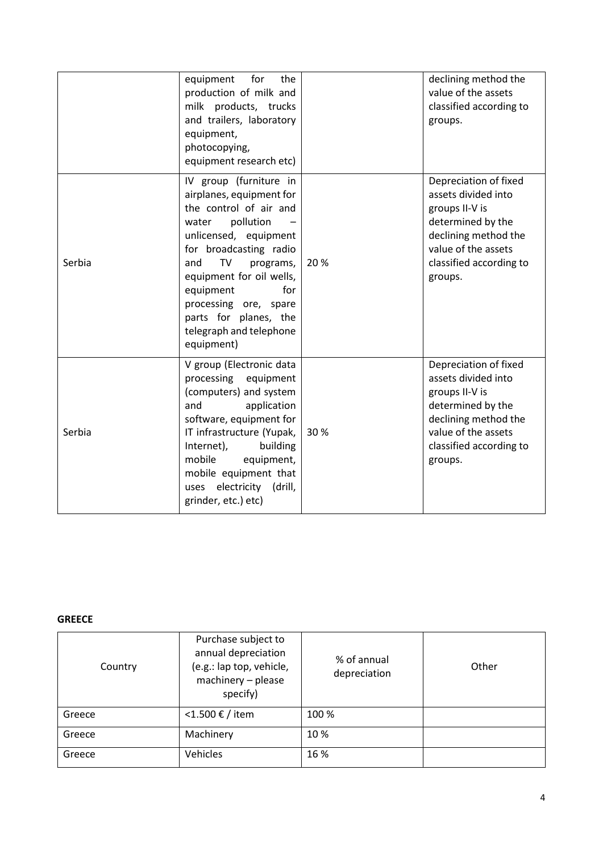|        | for<br>equipment<br>the<br>production of milk and<br>milk products, trucks<br>and trailers, laboratory<br>equipment,<br>photocopying,<br>equipment research etc)                                                                                                                                                           |     | declining method the<br>value of the assets<br>classified according to<br>groups.                                                                                        |
|--------|----------------------------------------------------------------------------------------------------------------------------------------------------------------------------------------------------------------------------------------------------------------------------------------------------------------------------|-----|--------------------------------------------------------------------------------------------------------------------------------------------------------------------------|
| Serbia | IV group (furniture in<br>airplanes, equipment for<br>the control of air and<br>pollution<br>water<br>unlicensed, equipment<br>for broadcasting radio<br>TV<br>programs,<br>and<br>equipment for oil wells,<br>equipment<br>for<br>processing ore, spare<br>parts for planes, the<br>telegraph and telephone<br>equipment) | 20% | Depreciation of fixed<br>assets divided into<br>groups II-V is<br>determined by the<br>declining method the<br>value of the assets<br>classified according to<br>groups. |
| Serbia | V group (Electronic data<br>processing<br>equipment<br>(computers) and system<br>and<br>application<br>software, equipment for<br>IT infrastructure (Yupak,<br>Internet),<br>building<br>mobile<br>equipment,<br>mobile equipment that<br>electricity (drill,<br>uses<br>grinder, etc.) etc)                               | 30% | Depreciation of fixed<br>assets divided into<br>groups II-V is<br>determined by the<br>declining method the<br>value of the assets<br>classified according to<br>groups. |

### **GREECE**

| Country | Purchase subject to<br>annual depreciation<br>(e.g.: lap top, vehicle,<br>machinery - please<br>specify) | % of annual<br>depreciation | Other |
|---------|----------------------------------------------------------------------------------------------------------|-----------------------------|-------|
| Greece  | <1.500 € / item                                                                                          | 100 %                       |       |
| Greece  | Machinery                                                                                                | 10%                         |       |
| Greece  | Vehicles                                                                                                 | 16 %                        |       |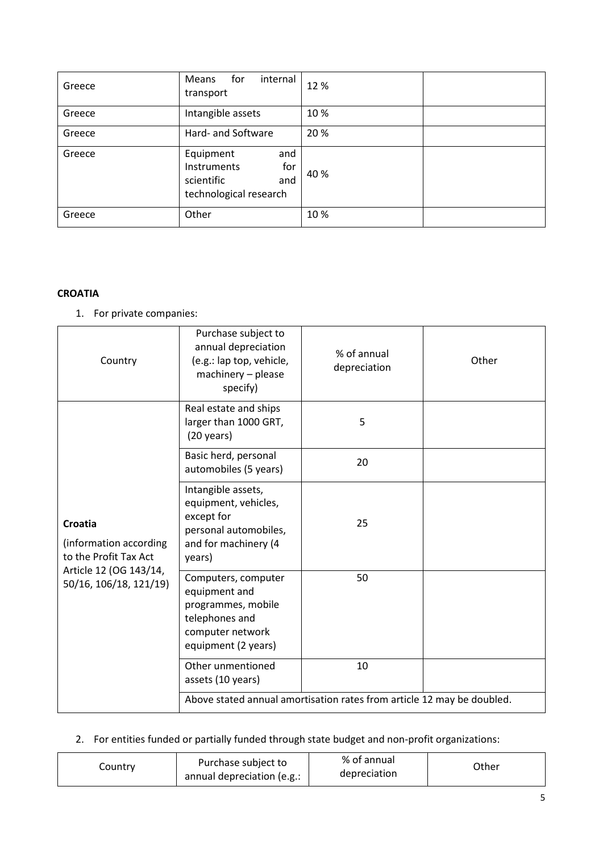| Greece | internal<br>Means<br>for<br>transport                                                        | 12%  |  |
|--------|----------------------------------------------------------------------------------------------|------|--|
| Greece | Intangible assets                                                                            | 10%  |  |
| Greece | Hard- and Software                                                                           | 20%  |  |
| Greece | Equipment<br>and<br>for<br><b>Instruments</b><br>scientific<br>and<br>technological research | 40 % |  |
| Greece | Other                                                                                        | 10%  |  |

### **CROATIA**

1. For private companies:

| Country                                                                                                        | Purchase subject to<br>annual depreciation<br>(e.g.: lap top, vehicle,<br>machinery - please<br>specify)                | % of annual<br>depreciation | Other |
|----------------------------------------------------------------------------------------------------------------|-------------------------------------------------------------------------------------------------------------------------|-----------------------------|-------|
|                                                                                                                | Real estate and ships<br>larger than 1000 GRT,<br>$(20 \text{ years})$                                                  | 5                           |       |
|                                                                                                                | Basic herd, personal<br>automobiles (5 years)                                                                           | 20                          |       |
| Croatia<br>(information according<br>to the Profit Tax Act<br>Article 12 (OG 143/14,<br>50/16, 106/18, 121/19) | Intangible assets,<br>equipment, vehicles,<br>except for<br>personal automobiles,<br>and for machinery (4<br>years)     | 25                          |       |
|                                                                                                                | Computers, computer<br>equipment and<br>programmes, mobile<br>telephones and<br>computer network<br>equipment (2 years) | 50                          |       |
|                                                                                                                | Other unmentioned<br>assets (10 years)                                                                                  | 10                          |       |
|                                                                                                                | Above stated annual amortisation rates from article 12 may be doubled.                                                  |                             |       |

# 2. For entities funded or partially funded through state budget and non-profit organizations:

| Country | Purchase subject to<br>annual depreciation (e.g.: | % of annual<br>depreciation | Other |
|---------|---------------------------------------------------|-----------------------------|-------|
|---------|---------------------------------------------------|-----------------------------|-------|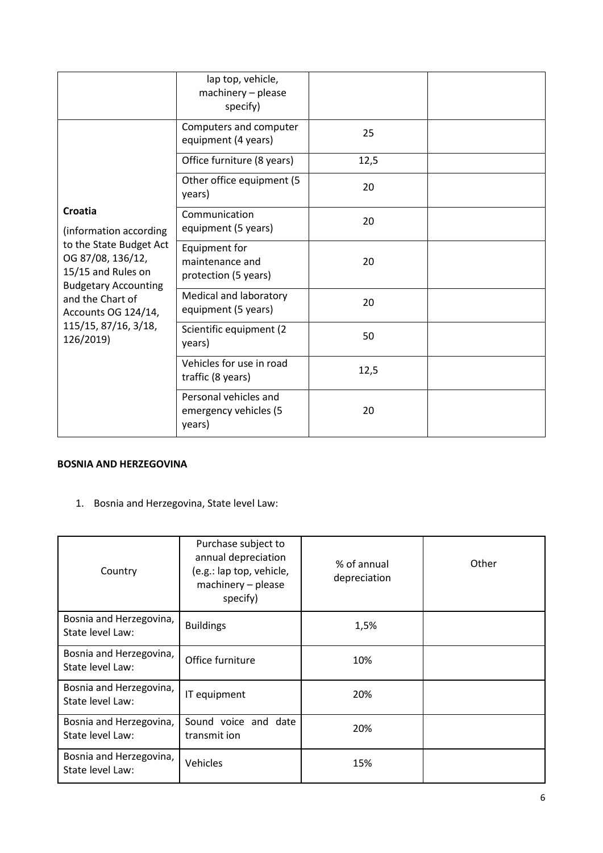|                                                                                                                                                                                                                        | lap top, vehicle,<br>machinery - please<br>specify)      |      |  |
|------------------------------------------------------------------------------------------------------------------------------------------------------------------------------------------------------------------------|----------------------------------------------------------|------|--|
|                                                                                                                                                                                                                        | Computers and computer<br>equipment (4 years)            | 25   |  |
|                                                                                                                                                                                                                        | Office furniture (8 years)                               | 12,5 |  |
|                                                                                                                                                                                                                        | Other office equipment (5<br>years)                      | 20   |  |
| Croatia<br>(information according<br>to the State Budget Act<br>OG 87/08, 136/12,<br>15/15 and Rules on<br><b>Budgetary Accounting</b><br>and the Chart of<br>Accounts OG 124/14,<br>115/15, 87/16, 3/18,<br>126/2019) | Communication<br>equipment (5 years)                     | 20   |  |
|                                                                                                                                                                                                                        | Equipment for<br>maintenance and<br>protection (5 years) | 20   |  |
|                                                                                                                                                                                                                        | Medical and laboratory<br>equipment (5 years)            | 20   |  |
|                                                                                                                                                                                                                        | Scientific equipment (2)<br>years)                       | 50   |  |
|                                                                                                                                                                                                                        | Vehicles for use in road<br>traffic (8 years)            | 12,5 |  |
|                                                                                                                                                                                                                        | Personal vehicles and<br>emergency vehicles (5<br>years) | 20   |  |

### **BOSNIA AND HERZEGOVINA**

1. Bosnia and Herzegovina, State level Law:

| Country                                     | Purchase subject to<br>annual depreciation<br>(e.g.: lap top, vehicle,<br>machinery - please<br>specify) | % of annual<br>depreciation | Other |
|---------------------------------------------|----------------------------------------------------------------------------------------------------------|-----------------------------|-------|
| Bosnia and Herzegovina,<br>State level Law: | <b>Buildings</b>                                                                                         | 1,5%                        |       |
| Bosnia and Herzegovina,<br>State level Law: | Office furniture                                                                                         | 10%                         |       |
| Bosnia and Herzegovina,<br>State level Law: | IT equipment                                                                                             | 20%                         |       |
| Bosnia and Herzegovina,<br>State level Law: | Sound voice and date<br>transmit ion                                                                     | 20%                         |       |
| Bosnia and Herzegovina,<br>State level Law: | Vehicles                                                                                                 | 15%                         |       |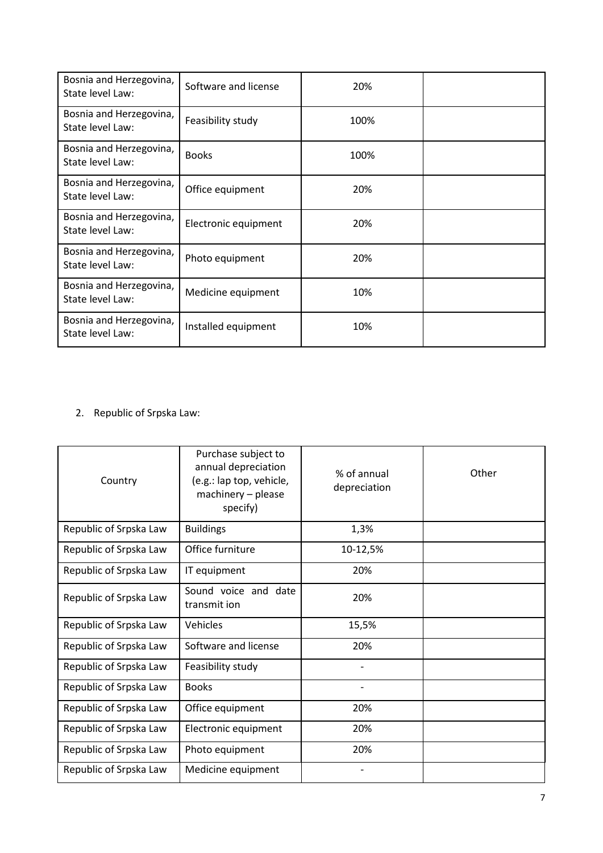| Bosnia and Herzegovina,<br>State level Law: | Software and license | 20%  |  |
|---------------------------------------------|----------------------|------|--|
| Bosnia and Herzegovina,<br>State level Law: | Feasibility study    | 100% |  |
| Bosnia and Herzegovina,<br>State level Law: | <b>Books</b>         | 100% |  |
| Bosnia and Herzegovina,<br>State level Law: | Office equipment     | 20%  |  |
| Bosnia and Herzegovina,<br>State level Law: | Electronic equipment | 20%  |  |
| Bosnia and Herzegovina,<br>State level Law: | Photo equipment      | 20%  |  |
| Bosnia and Herzegovina,<br>State level Law: | Medicine equipment   | 10%  |  |
| Bosnia and Herzegovina,<br>State level Law: | Installed equipment  | 10%  |  |

# 2. Republic of Srpska Law:

| Country                | Purchase subject to<br>annual depreciation<br>(e.g.: lap top, vehicle,<br>machinery - please<br>specify) | % of annual<br>depreciation | Other |
|------------------------|----------------------------------------------------------------------------------------------------------|-----------------------------|-------|
| Republic of Srpska Law | <b>Buildings</b>                                                                                         | 1,3%                        |       |
| Republic of Srpska Law | Office furniture                                                                                         | 10-12,5%                    |       |
| Republic of Srpska Law | IT equipment                                                                                             | 20%                         |       |
| Republic of Srpska Law | Sound voice and date<br>transmit ion                                                                     | 20%                         |       |
| Republic of Srpska Law | Vehicles                                                                                                 | 15,5%                       |       |
| Republic of Srpska Law | Software and license                                                                                     | 20%                         |       |
| Republic of Srpska Law | Feasibility study                                                                                        |                             |       |
| Republic of Srpska Law | <b>Books</b>                                                                                             | $\overline{\phantom{a}}$    |       |
| Republic of Srpska Law | Office equipment                                                                                         | 20%                         |       |
| Republic of Srpska Law | Electronic equipment                                                                                     | 20%                         |       |
| Republic of Srpska Law | Photo equipment                                                                                          | 20%                         |       |
| Republic of Srpska Law | Medicine equipment                                                                                       |                             |       |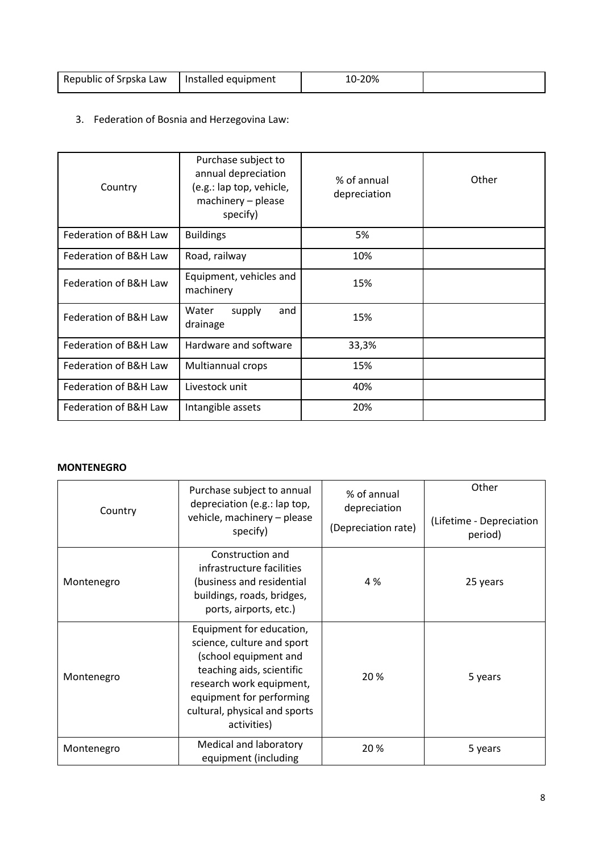| Republic of Srpska Law | Installed equipment | 10-20% |  |
|------------------------|---------------------|--------|--|

# 3. Federation of Bosnia and Herzegovina Law:

| Country               | Purchase subject to<br>annual depreciation<br>(e.g.: lap top, vehicle,<br>machinery - please<br>specify) | % of annual<br>depreciation | Other |
|-----------------------|----------------------------------------------------------------------------------------------------------|-----------------------------|-------|
| Federation of B&H Law | <b>Buildings</b>                                                                                         | 5%                          |       |
| Federation of B&H Law | Road, railway                                                                                            | 10%                         |       |
| Federation of B&H Law | Equipment, vehicles and<br>machinery                                                                     | 15%                         |       |
| Federation of B&H Law | Water<br>supply<br>and<br>drainage                                                                       | 15%                         |       |
| Federation of B&H Law | Hardware and software                                                                                    | 33,3%                       |       |
| Federation of B&H Law | Multiannual crops                                                                                        | 15%                         |       |
| Federation of B&H Law | Livestock unit                                                                                           | 40%                         |       |
| Federation of B&H Law | Intangible assets                                                                                        | 20%                         |       |

### **MONTENEGRO**

| Country    | Purchase subject to annual<br>depreciation (e.g.: lap top,<br>vehicle, machinery - please<br>specify)                                                                                                                | % of annual<br>depreciation<br>(Depreciation rate) | Other<br>(Lifetime - Depreciation<br>period) |
|------------|----------------------------------------------------------------------------------------------------------------------------------------------------------------------------------------------------------------------|----------------------------------------------------|----------------------------------------------|
| Montenegro | Construction and<br>infrastructure facilities<br>(business and residential<br>buildings, roads, bridges,<br>ports, airports, etc.)                                                                                   | 4 %                                                | 25 years                                     |
| Montenegro | Equipment for education,<br>science, culture and sport<br>(school equipment and<br>teaching aids, scientific<br>research work equipment,<br>equipment for performing<br>cultural, physical and sports<br>activities) | 20 %                                               | 5 years                                      |
| Montenegro | Medical and laboratory<br>equipment (including                                                                                                                                                                       | 20%                                                | 5 years                                      |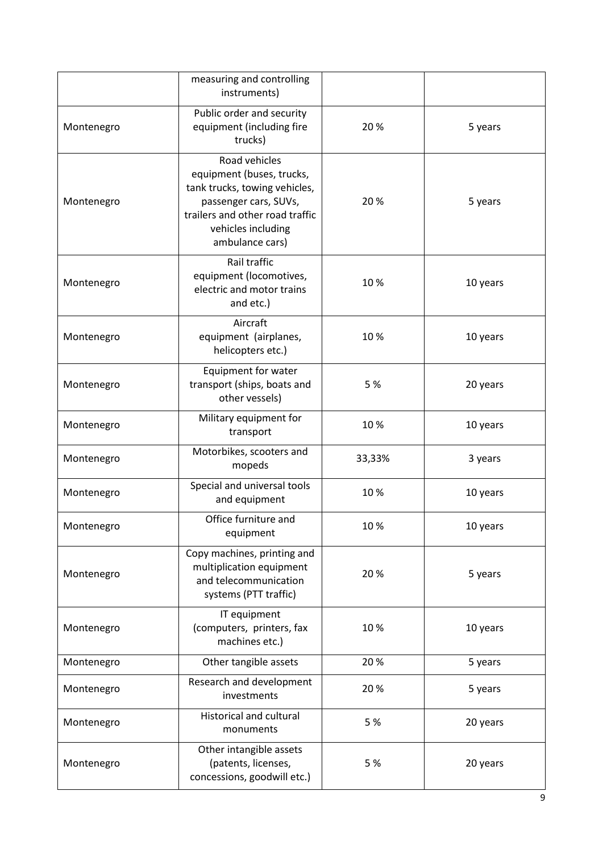|            | measuring and controlling<br>instruments)                                                                                                                                        |        |          |
|------------|----------------------------------------------------------------------------------------------------------------------------------------------------------------------------------|--------|----------|
| Montenegro | Public order and security<br>equipment (including fire<br>trucks)                                                                                                                | 20%    | 5 years  |
| Montenegro | Road vehicles<br>equipment (buses, trucks,<br>tank trucks, towing vehicles,<br>passenger cars, SUVs,<br>trailers and other road traffic<br>vehicles including<br>ambulance cars) | 20%    | 5 years  |
| Montenegro | Rail traffic<br>equipment (locomotives,<br>electric and motor trains<br>and etc.)                                                                                                | 10%    | 10 years |
| Montenegro | Aircraft<br>equipment (airplanes,<br>helicopters etc.)                                                                                                                           | 10%    | 10 years |
| Montenegro | Equipment for water<br>transport (ships, boats and<br>other vessels)                                                                                                             | 5 %    | 20 years |
| Montenegro | Military equipment for<br>transport                                                                                                                                              | 10%    | 10 years |
| Montenegro | Motorbikes, scooters and<br>mopeds                                                                                                                                               | 33,33% | 3 years  |
| Montenegro | Special and universal tools<br>and equipment                                                                                                                                     | 10%    | 10 years |
| Montenegro | Office furniture and<br>equipment                                                                                                                                                | 10%    | 10 years |
| Montenegro | Copy machines, printing and<br>multiplication equipment<br>and telecommunication<br>systems (PTT traffic)                                                                        | 20%    | 5 years  |
| Montenegro | IT equipment<br>(computers, printers, fax<br>machines etc.)                                                                                                                      | 10%    | 10 years |
| Montenegro | Other tangible assets                                                                                                                                                            | 20%    | 5 years  |
| Montenegro | Research and development<br>investments                                                                                                                                          | 20%    | 5 years  |
| Montenegro | Historical and cultural<br>monuments                                                                                                                                             | 5 %    | 20 years |
| Montenegro | Other intangible assets<br>(patents, licenses,<br>concessions, goodwill etc.)                                                                                                    | 5 %    | 20 years |